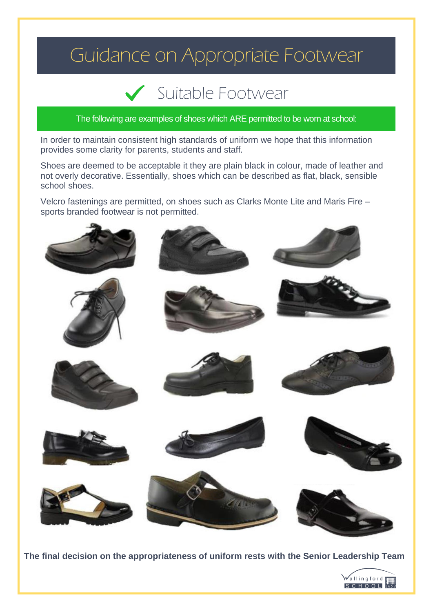## Guidance on Appropriate Footwear

## Suitable Footwear

The following are examples of shoes which ARE permitted to be worn at school:

In order to maintain consistent high standards of uniform we hope that this information provides some clarity for parents, students and staff.

Shoes are deemed to be acceptable it they are plain black in colour, made of leather and not overly decorative. Essentially, shoes which can be described as flat, black, sensible school shoes.

Velcro fastenings are permitted, on shoes such as Clarks Monte Lite and Maris Fire – sports branded footwear is not permitted.



**The final decision on the appropriateness of uniform rests with the Senior Leadership Team**